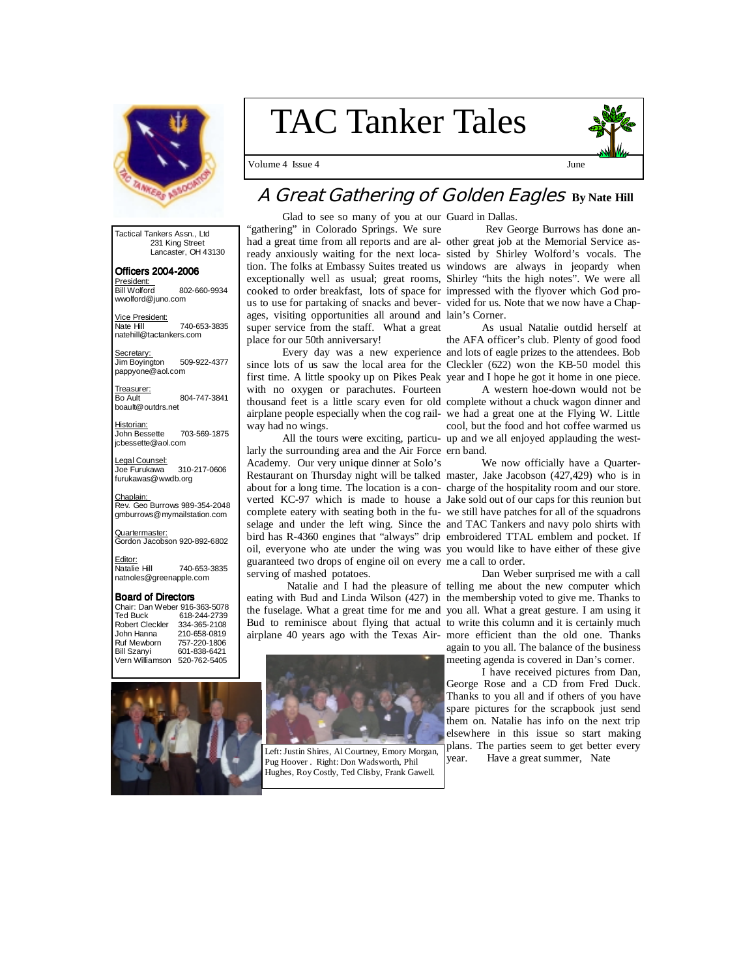

# TAC Tanker Tales

Volume 4 Issue 4 June



# **A Great Gathering of Golden Eagles By Nate Hill**

Glad to see so many of you at our Guard in Dallas.

Tactical Tankers Assn., Ltd 231 King Street Lancaster, OH 43130

Officers 2004- Officers 2004-2006 President:<br>Bill Wolford

Bill Wolford 802-660-9934 wwolford@juno.com

Vice President: Nate Hill 740-653-3835 natehill@tactankers.com

Secretar<u>y:</u><br>Jim Boyington 509-922-4377 pappyone@aol.com

Treasurer:<br>Bo Ault 804-747-3841 boault@outdrs.net

 Historian: 703-569-1875 jcbessette@aol.com

Legal Counsel: Joe Furukawa 310-217-0606 furukawas@wwdb.org

Chaplain: Rev. Geo Burrows 989-354-2048 gmburrows@mymailstation.com

Quartermaster:<br>Gordon Jacobson 920-892-6802

<mark>Editor:</mark><br>Natalie Hill 740-653-3835 natnoles@greenapple.com

### Board of Directors

| Chair: Dan Weber 916-363-5078 |              |
|-------------------------------|--------------|
| <b>Ted Buck</b>               | 618-244-2739 |
| <b>Robert Cleckler</b>        | 334-365-2108 |
| John Hanna                    | 210-658-0819 |
| Ruf Mewborn                   | 757-220-1806 |
| <b>Bill Szanyi</b>            | 601-838-6421 |
| Vern Williamson               | 520-762-5405 |
|                               |              |



"gathering" in Colorado Springs. We sure had a great time from all reports and are al-other great job at the Memorial Service asready anxiously waiting for the next loca-sisted by Shirley Wolford's vocals. The tion. The folks at Embassy Suites treated us windows are always in jeopardy when exceptionally well as usual; great rooms, Shirley "hits the high notes". We were all cooked to order breakfast, lots of space for impressed with the flyover which God prous to use for partaking of snacks and bever-vided for us. Note that we now have a Chapages, visiting opportunities all around and lain's Corner. super service from the staff. What a great place for our 50th anniversary!

 Every day was a new experience and lots of eagle prizes to the attendees. Bob since lots of us saw the local area for the Cleckler (622) won the KB-50 model this first time. A little spooky up on Pikes Peak year and I hope he got it home in one piece. with no oxygen or parachutes. Fourteen way had no wings.

larly the surrounding area and the Air Force ern band. Academy. Our very unique dinner at Solo's Restaurant on Thursday night will be talked master, Jake Jacobson (427,429) who is in about for a long time. The location is a con-charge of the hospitality room and our store. verted KC-97 which is made to house a Jake sold out of our caps for this reunion but complete eatery with seating both in the fu-we still have patches for all of the squadrons selage and under the left wing. Since the and TAC Tankers and navy polo shirts with bird has R-4360 engines that "always" drip embroidered TTAL emblem and pocket. If oil, everyone who ate under the wing was you would like to have either of these give guaranteed two drops of engine oil on every me a call to order. serving of mashed potatoes.

eating with Bud and Linda Wilson (427) in the membership voted to give me. Thanks to the fuselage. What a great time for me and you all. What a great gesture. I am using it Bud to reminisce about flying that actual to write this column and it is certainly much airplane 40 years ago with the Texas Air-more efficient than the old one. Thanks



Left: Justin Shires, Al Courtney, Emory Morgan,  $\begin{bmatrix} \text{pounds.} \\ \text{year.} \end{bmatrix}$  Have a great summer, Nate Pug Hoover . Right: Don Wadsworth, Phil Hughes, Roy Costly, Ted Clisby, Frank Gawell.

Rev George Burrows has done an-

 As usual Natalie outdid herself at the AFA officer's club. Plenty of good food

thousand feet is a little scary even for old complete without a chuck wagon dinner and airplane people especially when the cog rail-we had a great one at the Flying W. Little All the tours were exciting, particu-up and we all enjoyed applauding the west- A western hoe-down would not be cool, but the food and hot coffee warmed us

We now officially have a Quarter-

 Natalie and I had the pleasure of telling me about the new computer which Dan Weber surprised me with a call again to you all. The balance of the business meeting agenda is covered in Dan's corner.

 I have received pictures from Dan, George Rose and a CD from Fred Duck. Thanks to you all and if others of you have spare pictures for the scrapbook just send them on. Natalie has info on the next trip elsewhere in this issue so start making plans. The parties seem to get better every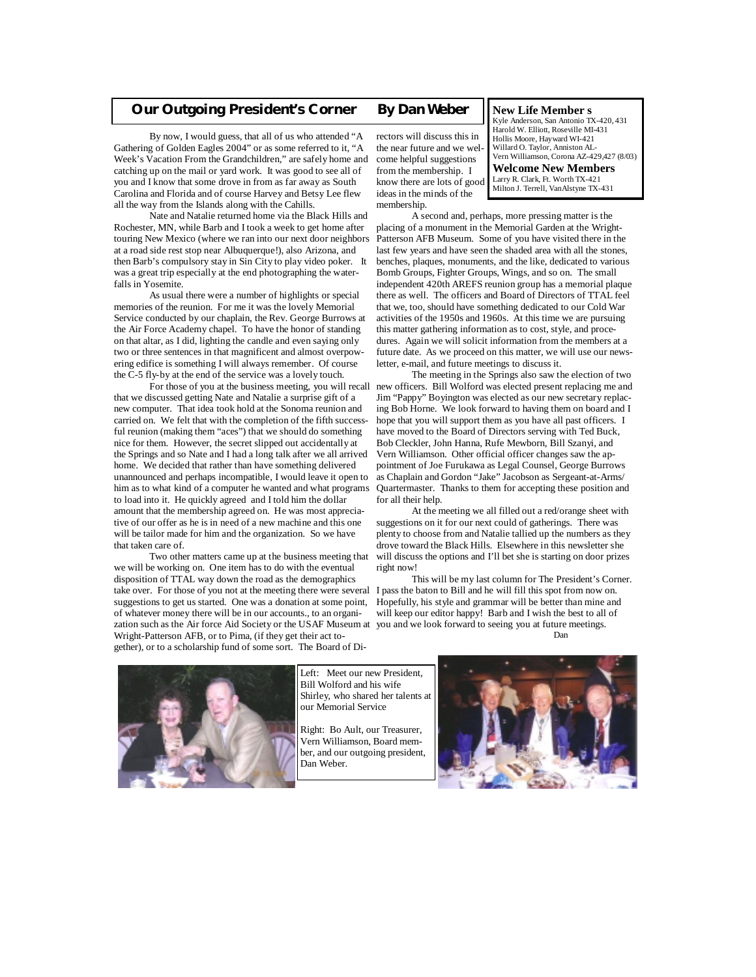### **Our Outgoing President's Corner** *By Dan Weber*

 By now, I would guess, that all of us who attended "A Gathering of Golden Eagles 2004" or as some referred to it, "A Week's Vacation From the Grandchildren," are safely home and come helpful suggestions catching up on the mail or yard work. It was good to see all of you and I know that some drove in from as far away as South Carolina and Florida and of course Harvey and Betsy Lee flew all the way from the Islands along with the Cahills.

 Nate and Natalie returned home via the Black Hills and Rochester, MN, while Barb and I took a week to get home after touring New Mexico (where we ran into our next door neighbors at a road side rest stop near Albuquerque!), also Arizona, and then Barb's compulsory stay in Sin City to play video poker. It was a great trip especially at the end photographing the waterfalls in Yosemite.

 As usual there were a number of highlights or special memories of the reunion. For me it was the lovely Memorial Service conducted by our chaplain, the Rev. George Burrows at the Air Force Academy chapel. To have the honor of standing on that altar, as I did, lighting the candle and even saying only two or three sentences in that magnificent and almost overpowering edifice is something I will always remember. Of course the C-5 fly-by at the end of the service was a lovely touch.

that we discussed getting Nate and Natalie a surprise gift of a new computer. That idea took hold at the Sonoma reunion and carried on. We felt that with the completion of the fifth successful reunion (making them "aces") that we should do something nice for them. However, the secret slipped out accidentally at the Springs and so Nate and I had a long talk after we all arrived home. We decided that rather than have something delivered unannounced and perhaps incompatible, I would leave it open to him as to what kind of a computer he wanted and what programs to load into it. He quickly agreed and I told him the dollar amount that the membership agreed on. He was most appreciative of our offer as he is in need of a new machine and this one will be tailor made for him and the organization. So we have that taken care of.

 Two other matters came up at the business meeting that we will be working on. One item has to do with the eventual disposition of TTAL way down the road as the demographics take over. For those of you not at the meeting there were several I pass the baton to Bill and he will fill this spot from now on. suggestions to get us started. One was a donation at some point, of whatever money there will be in our accounts., to an organization such as the Air force Aid Society or the USAF Museum at Wright-Patterson AFB, or to Pima, (if they get their act together), or to a scholarship fund of some sort. The Board of Di-

rectors will discuss this in the near future and we welfrom the membership. I know there are lots of good ideas in the minds of the membership.

**New Life Member s**  Kyle Anderson, San Antonio TX-420, 431 Harold W. Elliott, Roseville MI-431 Hollis Moore, Hayward WI-421 Willard O. Taylor, Anniston AL-Vern Williamson, Corona AZ-429,427 (8/03) **Welcome New Members**  Larry R. Clark, Ft. Worth TX-421 Milton J. Terrell, VanAlstyne TX-431

 A second and, perhaps, more pressing matter is the placing of a monument in the Memorial Garden at the Wright-Patterson AFB Museum. Some of you have visited there in the last few years and have seen the shaded area with all the stones, benches, plaques, monuments, and the like, dedicated to various Bomb Groups, Fighter Groups, Wings, and so on. The small independent 420th AREFS reunion group has a memorial plaque there as well. The officers and Board of Directors of TTAL feel that we, too, should have something dedicated to our Cold War activities of the 1950s and 1960s. At this time we are pursuing this matter gathering information as to cost, style, and procedures. Again we will solicit information from the members at a future date. As we proceed on this matter, we will use our newsletter, e-mail, and future meetings to discuss it.

 For those of you at the business meeting, you will recall new officers. Bill Wolford was elected present replacing me and The meeting in the Springs also saw the election of two Jim "Pappy" Boyington was elected as our new secretary replacing Bob Horne. We look forward to having them on board and I hope that you will support them as you have all past officers. I have moved to the Board of Directors serving with Ted Buck, Bob Cleckler, John Hanna, Rufe Mewborn, Bill Szanyi, and Vern Williamson. Other official officer changes saw the appointment of Joe Furukawa as Legal Counsel, George Burrows as Chaplain and Gordon "Jake" Jacobson as Sergeant-at-Arms/ Quartermaster. Thanks to them for accepting these position and for all their help.

> At the meeting we all filled out a red/orange sheet with suggestions on it for our next could of gatherings. There was plenty to choose from and Natalie tallied up the numbers as they drove toward the Black Hills. Elsewhere in this newsletter she will discuss the options and I'll bet she is starting on door prizes right now!

 This will be my last column for The President's Corner. Hopefully, his style and grammar will be better than mine and will keep our editor happy! Barb and I wish the best to all of you and we look forward to seeing you at future meetings. **Dan** 





Left: Meet our new President, Bill Wolford and his wife Shirley, who shared her talents at our Memorial Service

Right: Bo Ault, our Treasurer, Vern Williamson, Board member, and our outgoing president, Dan Weber.

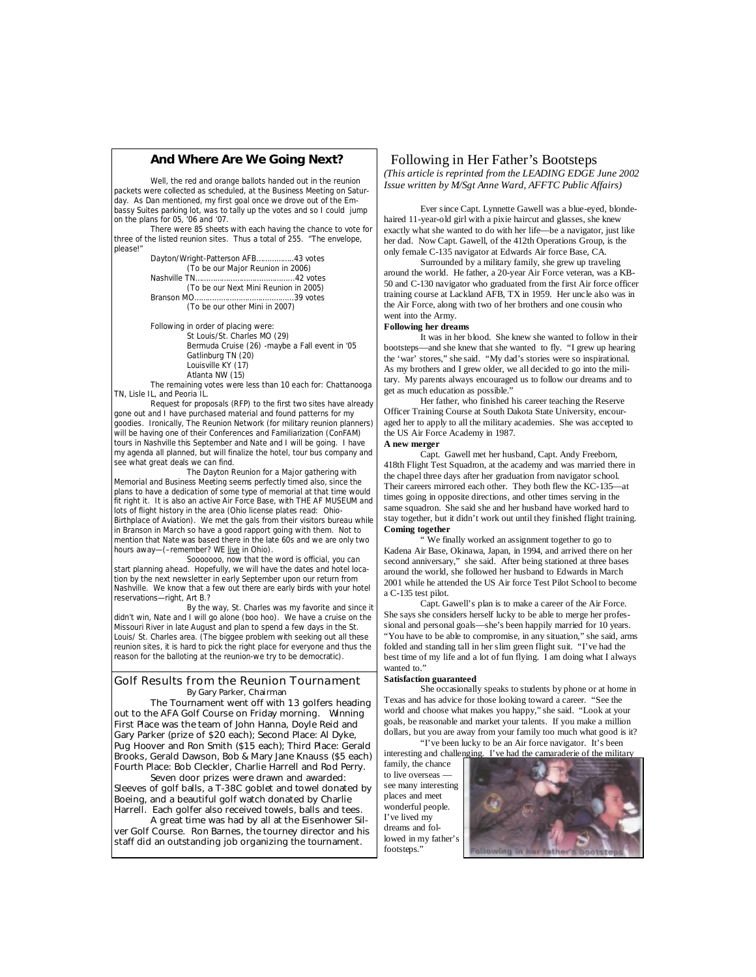### **And Where Are We Going Next?**

 Well, the red and orange ballots handed out in the reunion packets were collected as scheduled, at the Business Meeting on Saturday. As Dan mentioned, my first goal once we drove out of the Embassy Suites parking lot, was to tally up the votes and so I could jump on the plans for 05, '06 and '07.

 There were 85 sheets with each having the chance to vote for three of the listed reunion sites. Thus a total of 255. "The envelope, please!"

 Dayton/Wright-Patterson AFB……………..43 votes (To be our Major Reunion in 2006) Nashville TN……………………………………...42 votes (To be our Next Mini Reunion in 2005) Branson MO……………………………………...39 votes

(To be our other Mini in 2007)

 Following in order of placing were: St Louis/St. Charles MO (29) Bermuda Cruise (26) -maybe a Fall event in '05 Gatlinburg TN (20) Louisville KY (17) Atlanta NW (15)

 The remaining votes were less than 10 each for: Chattanooga TN, Lisle IL, and Peoria IL.

 Request for proposals (RFP) to the first two sites have already gone out and I have purchased material and found patterns for my goodies. Ironically, The Reunion Network (for military reunion planners) will be having one of their Conferences and Familiarization (ConFAM) tours in Nashville this September and Nate and I will be going. I have my agenda all planned, but will finalize the hotel, tour bus company and see what great deals we can find.

 The Dayton Reunion for a Major gathering with Memorial and Business Meeting seems perfectly timed also, since the plans to have a dedication of some type of memorial at that time would fit right it. It is also an active Air Force Base, with THE AF MUSEUM and lots of flight history in the area (Ohio license plates read: Ohio-Birthplace of Aviation). We met the gals from their visitors bureau while in Branson in March so have a good rapport going with them. Not to mention that Nate was based there in the late 60s and we are only two

hours away-(-remember? WE live in Ohio). Sooooooo, now that the word is official, you can start planning ahead. Hopefully, we will have the dates and hotel location by the next newsletter in early September upon our return from Nashville. We know that a few out there are early birds with your hotel reservations—right, Art B.?

By the way, St. Charles was my favorite and since it didn't win, Nate and I will go alone (boo hoo). We have a cruise on the Missouri River in late August and plan to spend a few days in the St. Louis/ St. Charles area. (The biggee problem with seeking out all these reunion sites, it is hard to pick the right place for everyone and thus the reason for the balloting at the reunion-we try to be democratic).

### Golf Results from the Reunion Tournament By Gary Parker, Chairman

 The Tournament went off with 13 golfers heading out to the AFA Golf Course on Friday morning. Winning First Place was the team of John Hanna, Doyle Reid and Gary Parker (prize of \$20 each); Second Place: Al Dyke, Pug Hoover and Ron Smith (\$15 each); Third Place: Gerald Brooks, Gerald Dawson, Bob & Mary Jane Knauss (\$5 each) Fourth Place: Bob Cleckler, Charlie Harrell and Rod Perry.

 Seven door prizes were drawn and awarded: Sleeves of golf balls, a T-38C goblet and towel donated by Boeing, and a beautiful golf watch donated by Charlie Harrell. Each golfer also received towels, balls and tees.

 A great time was had by all at the Eisenhower Silver Golf Course. Ron Barnes, the tourney director and his staff did an outstanding job organizing the tournament.

### Following in Her Father's Bootsteps *(This article is reprinted from the LEADING EDGE June 2002 Issue written by M/Sgt Anne Ward, AFFTC Public Affairs)*

Ever since Capt. Lynnette Gawell was a blue-eyed, blondehaired 11-year-old girl with a pixie haircut and glasses, she knew exactly what she wanted to do with her life—be a navigator, just like her dad. Now Capt. Gawell, of the 412th Operations Group, is the only female C-135 navigator at Edwards Air force Base, CA.

 Surrounded by a military family, she grew up traveling around the world. He father, a 20-year Air Force veteran, was a KB-50 and C-130 navigator who graduated from the first Air force officer training course at Lackland AFB, TX in 1959. Her uncle also was in the Air Force, along with two of her brothers and one cousin who went into the Army.

### **Following her dreams**

It was in her blood. She knew she wanted to follow in their bootsteps—and she knew that she wanted to fly. "I grew up hearing the 'war' stores," she said. "My dad's stories were so inspirational. As my brothers and I grew older, we all decided to go into the military. My parents always encouraged us to follow our dreams and to get as much education as possible."

 Her father, who finished his career teaching the Reserve Officer Training Course at South Dakota State University, encouraged her to apply to all the military academies. She was accepted to the US Air Force Academy in 1987.

**A new merger**

 Capt. Gawell met her husband, Capt. Andy Freeborn, 418th Flight Test Squadron, at the academy and was married there in the chapel three days after her graduation from navigator school. Their careers mirrored each other. They both flew the KC-135—at times going in opposite directions, and other times serving in the same squadron. She said she and her husband have worked hard to stay together, but it didn't work out until they finished flight training. **Coming together**

 " We finally worked an assignment together to go to Kadena Air Base, Okinawa, Japan, in 1994, and arrived there on her second anniversary," she said. After being stationed at three bases around the world, she followed her husband to Edwards in March 2001 while he attended the US Air force Test Pilot School to become a C-135 test pilot.

 Capt. Gawell's plan is to make a career of the Air Force. She says she considers herself lucky to be able to merge her professional and personal goals—she's been happily married for 10 years. "You have to be able to compromise, in any situation," she said, arms folded and standing tall in her slim green flight suit. "I've had the best time of my life and a lot of fun flying. I am doing what I always wanted to.'

### **Satisfaction guaranteed**

 She occasionally speaks to students by phone or at home in Texas and has advice for those looking toward a career. "See the world and choose what makes you happy," she said. "Look at your goals, be reasonable and market your talents. If you make a million dollars, but you are away from your family too much what good is it? "I've been lucky to be an Air force navigator. It's been

interesting and challenging. I've had the camaraderie of the military

family, the chance to live overseas see many interesting places and meet wonderful people. I've lived my dreams and followed in my father's footsteps."

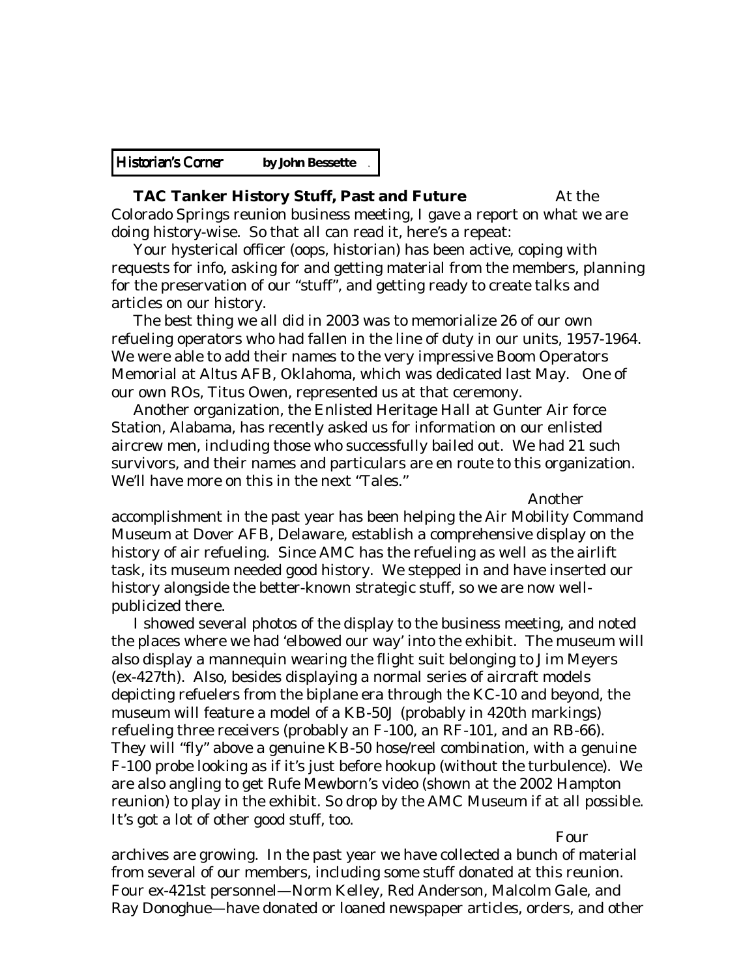| <b>Historian's Corner</b> | by John Bessette |
|---------------------------|------------------|
|---------------------------|------------------|

# **TAC Tanker History Stuff, Past and Future** At the

Colorado Springs reunion business meeting, I gave a report on what we are doing history-wise. So that all can read it, here's a repeat:

 Your hysterical officer (oops, historian) has been active, coping with requests for info, asking for and getting material from the members, planning for the preservation of our "stuff", and getting ready to create talks and articles on our history.

 The best thing we all did in 2003 was to memorialize 26 of our own refueling operators who had fallen in the line of duty in our units, 1957-1964. We were able to add their names to the very impressive Boom Operators Memorial at Altus AFB, Oklahoma, which was dedicated last May. One of our own ROs, Titus Owen, represented us at that ceremony.

 Another organization, the Enlisted Heritage Hall at Gunter Air force Station, Alabama, has recently asked us for information on our enlisted aircrew men, including those who successfully bailed out. We had 21 such survivors, and their names and particulars are en route to this organization. We'll have more on this in the next "Tales."

Another

accomplishment in the past year has been helping the Air Mobility Command Museum at Dover AFB, Delaware, establish a comprehensive display on the history of air refueling. Since AMC has the refueling as well as the airlift task, its museum needed good history. We stepped in and have inserted our history alongside the better-known strategic stuff, so we are now wellpublicized there.

 I showed several photos of the display to the business meeting, and noted the places where we had 'elbowed our way' into the exhibit. The museum will also display a mannequin wearing the flight suit belonging to Jim Meyers (ex-427th). Also, besides displaying a normal series of aircraft models depicting refuelers from the biplane era through the KC-10 and beyond, the museum will feature a model of a KB-50J (probably in 420th markings) refueling three receivers (probably an F-100, an RF-101, and an RB-66). They will "fly" above a genuine KB-50 hose/reel combination, with a genuine F-100 probe looking as if it's just before hookup (without the turbulence). We are also angling to get Rufe Mewborn's video (shown at the 2002 Hampton reunion) to play in the exhibit. So drop by the AMC Museum if at all possible. It's got a lot of other good stuff, too.

Four

archives are growing. In the past year we have collected a bunch of material from several of our members, including some stuff donated at this reunion. Four ex-421st personnel—Norm Kelley, Red Anderson, Malcolm Gale, and Ray Donoghue—have donated or loaned newspaper articles, orders, and other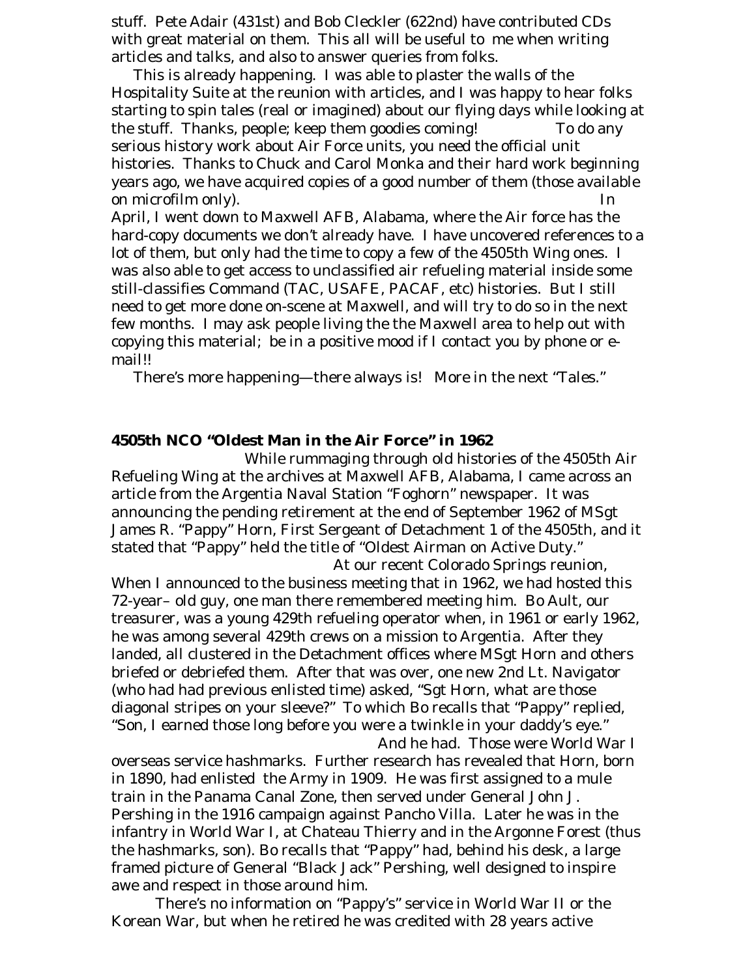stuff. Pete Adair (431st) and Bob Cleckler (622nd) have contributed CDs with great material on them. This all will be useful to me when writing articles and talks, and also to answer queries from folks.

 This is already happening. I was able to plaster the walls of the Hospitality Suite at the reunion with articles, and I was happy to hear folks starting to spin tales (real or imagined) about our flying days while looking at the stuff. Thanks, people; keep them goodies coming! To do any serious history work about Air Force units, you need the official unit histories. Thanks to Chuck and Carol Monka and their hard work beginning years ago, we have acquired copies of a good number of them (those available on microfilm only). In

April, I went down to Maxwell AFB, Alabama, where the Air force has the hard-copy documents we don't already have. I have uncovered references to a lot of them, but only had the time to copy a few of the 4505th Wing ones. I was also able to get access to unclassified air refueling material inside some still-classifies Command (TAC, USAFE, PACAF, etc) histories. But I still need to get more done on-scene at Maxwell, and will try to do so in the next few months. I may ask people living the the Maxwell area to help out with copying this material; be in a positive mood if I contact you by phone or email!!

There's more happening—there always is! More in the next "Tales."

# **4505th NCO "Oldest Man in the Air Force" in 1962**

While rummaging through old histories of the 4505th Air Refueling Wing at the archives at Maxwell AFB, Alabama, I came across an article from the Argentia Naval Station "Foghorn" newspaper. It was announcing the pending retirement at the end of September 1962 of MSgt James R. "Pappy" Horn, First Sergeant of Detachment 1 of the 4505th, and it stated that "Pappy" held the title of "Oldest Airman on Active Duty."

 At our recent Colorado Springs reunion, When I announced to the business meeting that in 1962, we had hosted this 72-year– old guy, one man there remembered meeting him. Bo Ault, our treasurer, was a young 429th refueling operator when, in 1961 or early 1962, he was among several 429th crews on a mission to Argentia. After they landed, all clustered in the Detachment offices where MSgt Horn and others briefed or debriefed them. After that was over, one new 2nd Lt. Navigator (who had had previous enlisted time) asked, "Sgt Horn, what are those diagonal stripes on your sleeve?" To which Bo recalls that "Pappy" replied, "Son, I earned those long before you were a twinkle in your daddy's eye." And he had. Those were World War I

overseas service hashmarks. Further research has revealed that Horn, born in 1890, had enlisted the Army in 1909. He was first assigned to a mule train in the Panama Canal Zone, then served under General John J. Pershing in the 1916 campaign against Pancho Villa. Later he was in the infantry in World War I, at Chateau Thierry and in the Argonne Forest (thus the hashmarks, son). Bo recalls that "Pappy" had, behind his desk, a large framed picture of General "Black Jack" Pershing, well designed to inspire awe and respect in those around him.

 There's no information on "Pappy's" service in World War II or the Korean War, but when he retired he was credited with 28 years active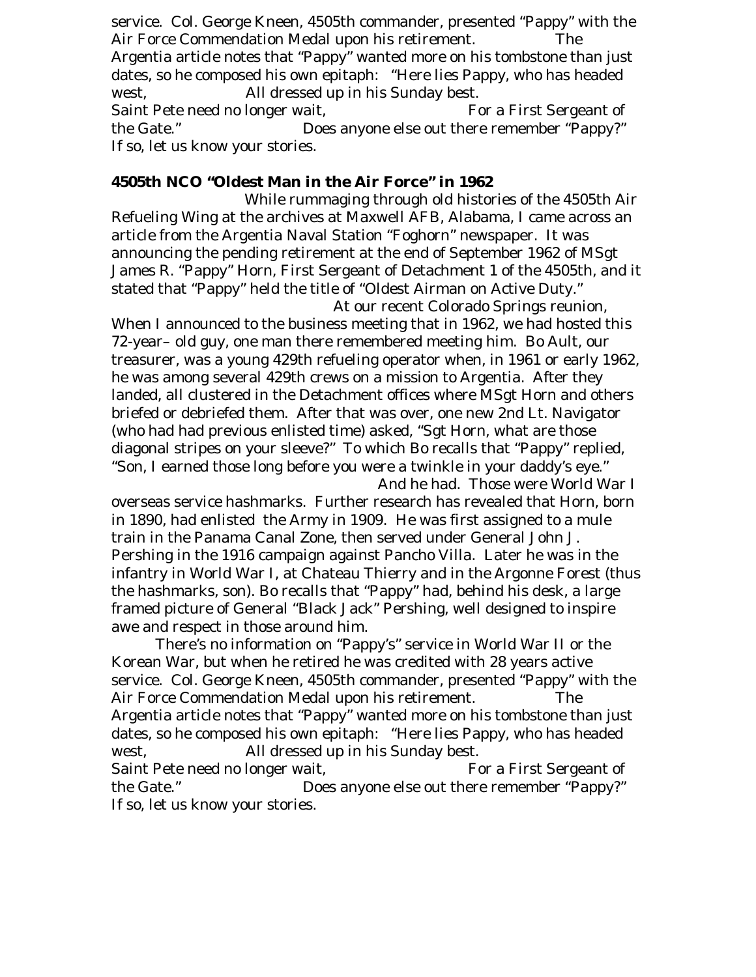service. Col. George Kneen, 4505th commander, presented "Pappy" with the Air Force Commendation Medal upon his retirement. The Argentia article notes that "Pappy" wanted more on his tombstone than just dates, so he composed his own epitaph: "Here lies Pappy, who has headed west, All dressed up in his Sunday best. Saint Pete need no longer wait, For a First Sergeant of the Gate." Does anyone else out there remember "Pappy?" If so, let us know your stories.

# **4505th NCO "Oldest Man in the Air Force" in 1962**

While rummaging through old histories of the 4505th Air Refueling Wing at the archives at Maxwell AFB, Alabama, I came across an article from the Argentia Naval Station "Foghorn" newspaper. It was announcing the pending retirement at the end of September 1962 of MSgt James R. "Pappy" Horn, First Sergeant of Detachment 1 of the 4505th, and it stated that "Pappy" held the title of "Oldest Airman on Active Duty."

 At our recent Colorado Springs reunion, When I announced to the business meeting that in 1962, we had hosted this 72-year– old guy, one man there remembered meeting him. Bo Ault, our treasurer, was a young 429th refueling operator when, in 1961 or early 1962, he was among several 429th crews on a mission to Argentia. After they landed, all clustered in the Detachment offices where MSgt Horn and others briefed or debriefed them. After that was over, one new 2nd Lt. Navigator (who had had previous enlisted time) asked, "Sgt Horn, what are those diagonal stripes on your sleeve?" To which Bo recalls that "Pappy" replied, "Son, I earned those long before you were a twinkle in your daddy's eye." And he had. Those were World War I

overseas service hashmarks. Further research has revealed that Horn, born in 1890, had enlisted the Army in 1909. He was first assigned to a mule train in the Panama Canal Zone, then served under General John J. Pershing in the 1916 campaign against Pancho Villa. Later he was in the infantry in World War I, at Chateau Thierry and in the Argonne Forest (thus the hashmarks, son). Bo recalls that "Pappy" had, behind his desk, a large framed picture of General "Black Jack" Pershing, well designed to inspire awe and respect in those around him.

 There's no information on "Pappy's" service in World War II or the Korean War, but when he retired he was credited with 28 years active service. Col. George Kneen, 4505th commander, presented "Pappy" with the Air Force Commendation Medal upon his retirement. The Argentia article notes that "Pappy" wanted more on his tombstone than just dates, so he composed his own epitaph: "Here lies Pappy, who has headed west, All dressed up in his Sunday best. Saint Pete need no longer wait, For a First Sergeant of the Gate." Does anyone else out there remember "Pappy?" If so, let us know your stories.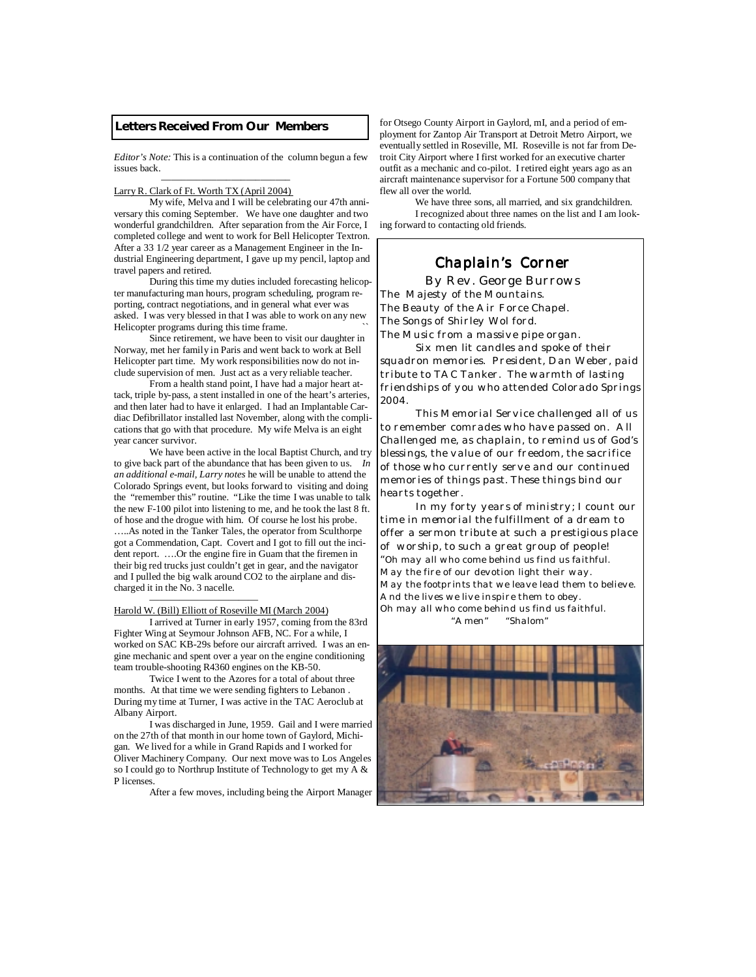### **Letters Received From Our Members**

*Editor's Note:* This is a continuation of the column begun a few issues back.

#### ——–—–—–—–—–—–—–—– Larry R. Clark of Ft. Worth TX (April 2004)

 My wife, Melva and I will be celebrating our 47th anniversary this coming September. We have one daughter and two wonderful grandchildren. After separation from the Air Force, I completed college and went to work for Bell Helicopter Textron. After a 33 1/2 year career as a Management Engineer in the Industrial Engineering department, I gave up my pencil, laptop and travel papers and retired.

 During this time my duties included forecasting helicopter manufacturing man hours, program scheduling, program reporting, contract negotiations, and in general what ever was asked. I was very blessed in that I was able to work on any new Helicopter programs during this time frame.

 Since retirement, we have been to visit our daughter in Norway, met her family in Paris and went back to work at Bell Helicopter part time. My work responsibilities now do not include supervision of men. Just act as a very reliable teacher.

 From a health stand point, I have had a major heart attack, triple by-pass, a stent installed in one of the heart's arteries, and then later had to have it enlarged. I had an Implantable Cardiac Defibrillator installed last November, along with the complications that go with that procedure. My wife Melva is an eight year cancer survivor.

 We have been active in the local Baptist Church, and try to give back part of the abundance that has been given to us. *In an additional e-mail, Larry notes* he will be unable to attend the Colorado Springs event, but looks forward to visiting and doing the "remember this" routine. "Like the time I was unable to talk the new F-100 pilot into listening to me, and he took the last 8 ft. of hose and the drogue with him. Of course he lost his probe. …..As noted in the Tanker Tales, the operator from Sculthorpe got a Commendation, Capt. Covert and I got to fill out the incident report. ….Or the engine fire in Guam that the firemen in their big red trucks just couldn't get in gear, and the navigator and I pulled the big walk around CO2 to the airplane and discharged it in the No. 3 nacelle.

### Harold W. (Bill) Elliott of Roseville MI (March 2004)

———————————

 I arrived at Turner in early 1957, coming from the 83rd Fighter Wing at Seymour Johnson AFB, NC. For a while, I worked on SAC KB-29s before our aircraft arrived. I was an engine mechanic and spent over a year on the engine conditioning team trouble-shooting R4360 engines on the KB-50.

 Twice I went to the Azores for a total of about three months. At that time we were sending fighters to Lebanon During my time at Turner, I was active in the TAC Aeroclub at Albany Airport.

 I was discharged in June, 1959. Gail and I were married on the 27th of that month in our home town of Gaylord, Michigan. We lived for a while in Grand Rapids and I worked for Oliver Machinery Company. Our next move was to Los Angeles so I could go to Northrup Institute of Technology to get my A & P licenses.

After a few moves, including being the Airport Manager

for Otsego County Airport in Gaylord, mI, and a period of employment for Zantop Air Transport at Detroit Metro Airport, we eventually settled in Roseville, MI. Roseville is not far from Detroit City Airport where I first worked for an executive charter outfit as a mechanic and co-pilot. I retired eight years ago as an aircraft maintenance supervisor for a Fortune 500 company that flew all over the world.

 We have three sons, all married, and six grandchildren. I recognized about three names on the list and I am looking forward to contacting old friends.

### *Chaplain's Corner Chaplain's Corner*

 *By Rev. George Burrows The Majesty of the Mountains. The Beauty of the Air Force Chapel. The Songs of Shirley Wol ford. The Music from a massive pipe organ.* 

 *Six men lit candles and spoke of their squadron memories. President, Dan Weber, paid tribute to TAC Tanker. The warmth of lasting friendships of you who attended Colorado Springs 2004.* 

 *This Memorial Service challenged all of us to remember comrades who have passed on. All Challenged me, as chaplain, to remind us of God's blessings, the value of our freedom, the sacrifice of those who currently serve and our continued memories of things past. These things bind our hearts together.* 

 *In my forty years of ministry; I count our time in memorial the fulfillment of a dream to offer a sermon tribute at such a prestigious place of worship, to such a great group of people! "Oh may all who come behind us find us faithful. May the fire of our devotion light their way. May the footprints that we leave lead them to believe. And the lives we live inspire them to obey. Oh may all who come behind us find us faithful. "Amen" "Shalom"* 

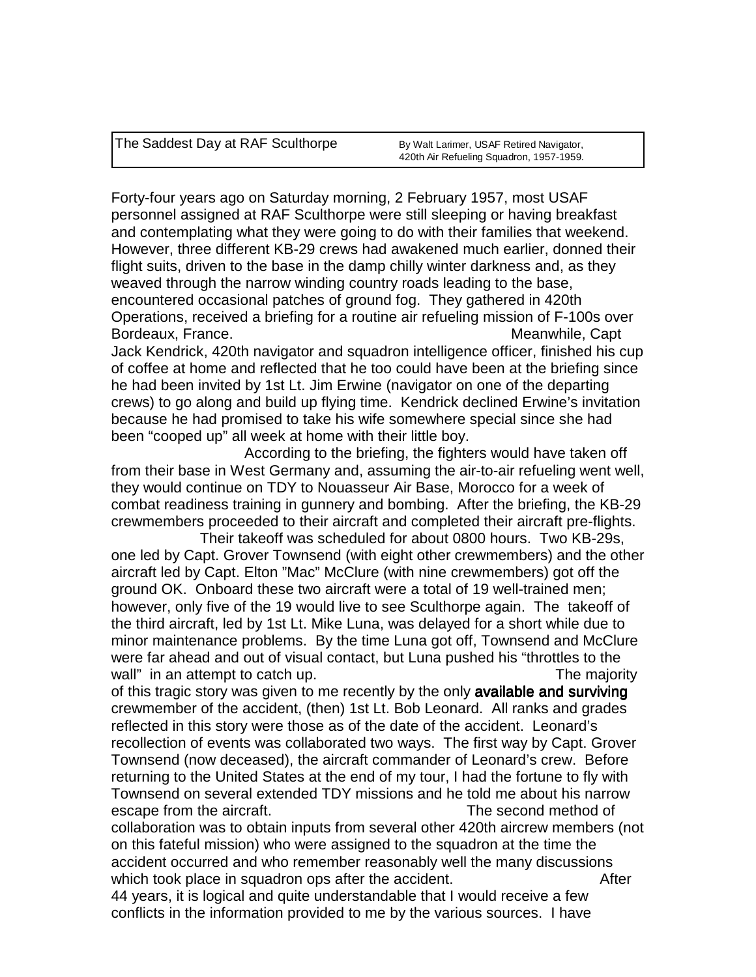The Saddest Day at RAF Sculthorpe By Walt Larimer, USAF Retired Navigator,

Forty-four years ago on Saturday morning, 2 February 1957, most USAF personnel assigned at RAF Sculthorpe were still sleeping or having breakfast and contemplating what they were going to do with their families that weekend. However, three different KB-29 crews had awakened much earlier, donned their flight suits, driven to the base in the damp chilly winter darkness and, as they weaved through the narrow winding country roads leading to the base, encountered occasional patches of ground fog. They gathered in 420th Operations, received a briefing for a routine air refueling mission of F-100s over Bordeaux, France. **Meanwhile, Capt Meanwhile, Capt** Jack Kendrick, 420th navigator and squadron intelligence officer, finished his cup of coffee at home and reflected that he too could have been at the briefing since he had been invited by 1st Lt. Jim Erwine (navigator on one of the departing crews) to go along and build up flying time. Kendrick declined Erwine's invitation because he had promised to take his wife somewhere special since she had been "cooped up" all week at home with their little boy.

 According to the briefing, the fighters would have taken off from their base in West Germany and, assuming the air-to-air refueling went well, they would continue on TDY to Nouasseur Air Base, Morocco for a week of combat readiness training in gunnery and bombing. After the briefing, the KB-29 crewmembers proceeded to their aircraft and completed their aircraft pre-flights.

 Their takeoff was scheduled for about 0800 hours. Two KB-29s, one led by Capt. Grover Townsend (with eight other crewmembers) and the other aircraft led by Capt. Elton "Mac" McClure (with nine crewmembers) got off the ground OK. Onboard these two aircraft were a total of 19 well-trained men; however, only five of the 19 would live to see Sculthorpe again. The takeoff of the third aircraft, led by 1st Lt. Mike Luna, was delayed for a short while due to minor maintenance problems. By the time Luna got off, Townsend and McClure were far ahead and out of visual contact, but Luna pushed his "throttles to the wall" in an attempt to catch up. The majority in an attempt to catch up.

of this tragic story was given to me recently by the only available and surviving crewmember of the accident, (then) 1st Lt. Bob Leonard. All ranks and grades reflected in this story were those as of the date of the accident. Leonard's recollection of events was collaborated two ways. The first way by Capt. Grover Townsend (now deceased), the aircraft commander of Leonard's crew. Before returning to the United States at the end of my tour, I had the fortune to fly with Townsend on several extended TDY missions and he told me about his narrow escape from the aircraft. The second method of

collaboration was to obtain inputs from several other 420th aircrew members (not on this fateful mission) who were assigned to the squadron at the time the accident occurred and who remember reasonably well the many discussions which took place in squadron ops after the accident.

44 years, it is logical and quite understandable that I would receive a few conflicts in the information provided to me by the various sources. I have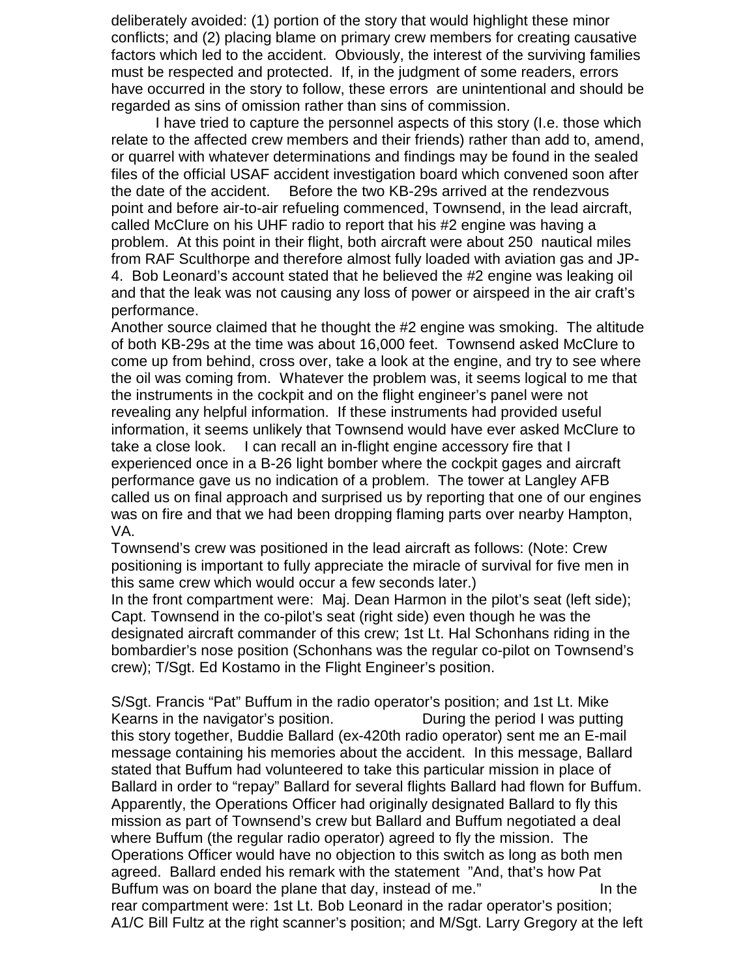deliberately avoided: (1) portion of the story that would highlight these minor conflicts; and (2) placing blame on primary crew members for creating causative factors which led to the accident. Obviously, the interest of the surviving families must be respected and protected. If, in the judgment of some readers, errors have occurred in the story to follow, these errors are unintentional and should be regarded as sins of omission rather than sins of commission.

 I have tried to capture the personnel aspects of this story (I.e. those which relate to the affected crew members and their friends) rather than add to, amend, or quarrel with whatever determinations and findings may be found in the sealed files of the official USAF accident investigation board which convened soon after the date of the accident. Before the two KB-29s arrived at the rendezvous point and before air-to-air refueling commenced, Townsend, in the lead aircraft, called McClure on his UHF radio to report that his #2 engine was having a problem. At this point in their flight, both aircraft were about 250 nautical miles from RAF Sculthorpe and therefore almost fully loaded with aviation gas and JP-4. Bob Leonard's account stated that he believed the #2 engine was leaking oil and that the leak was not causing any loss of power or airspeed in the air craft's performance.

Another source claimed that he thought the #2 engine was smoking. The altitude of both KB-29s at the time was about 16,000 feet. Townsend asked McClure to come up from behind, cross over, take a look at the engine, and try to see where the oil was coming from. Whatever the problem was, it seems logical to me that the instruments in the cockpit and on the flight engineer's panel were not revealing any helpful information. If these instruments had provided useful information, it seems unlikely that Townsend would have ever asked McClure to take a close look. I can recall an in-flight engine accessory fire that I experienced once in a B-26 light bomber where the cockpit gages and aircraft performance gave us no indication of a problem. The tower at Langley AFB called us on final approach and surprised us by reporting that one of our engines was on fire and that we had been dropping flaming parts over nearby Hampton, VA.

Townsend's crew was positioned in the lead aircraft as follows: (Note: Crew positioning is important to fully appreciate the miracle of survival for five men in this same crew which would occur a few seconds later.)

In the front compartment were: Maj. Dean Harmon in the pilot's seat (left side); Capt. Townsend in the co-pilot's seat (right side) even though he was the designated aircraft commander of this crew; 1st Lt. Hal Schonhans riding in the bombardier's nose position (Schonhans was the regular co-pilot on Townsend's crew); T/Sgt. Ed Kostamo in the Flight Engineer's position.

S/Sgt. Francis "Pat" Buffum in the radio operator's position; and 1st Lt. Mike Kearns in the navigator's position. During the period I was putting this story together, Buddie Ballard (ex-420th radio operator) sent me an E-mail message containing his memories about the accident. In this message, Ballard stated that Buffum had volunteered to take this particular mission in place of Ballard in order to "repay" Ballard for several flights Ballard had flown for Buffum. Apparently, the Operations Officer had originally designated Ballard to fly this mission as part of Townsend's crew but Ballard and Buffum negotiated a deal where Buffum (the regular radio operator) agreed to fly the mission. The Operations Officer would have no objection to this switch as long as both men agreed. Ballard ended his remark with the statement "And, that's how Pat Buffum was on board the plane that day, instead of me." In the rear compartment were: 1st Lt. Bob Leonard in the radar operator's position; A1/C Bill Fultz at the right scanner's position; and M/Sgt. Larry Gregory at the left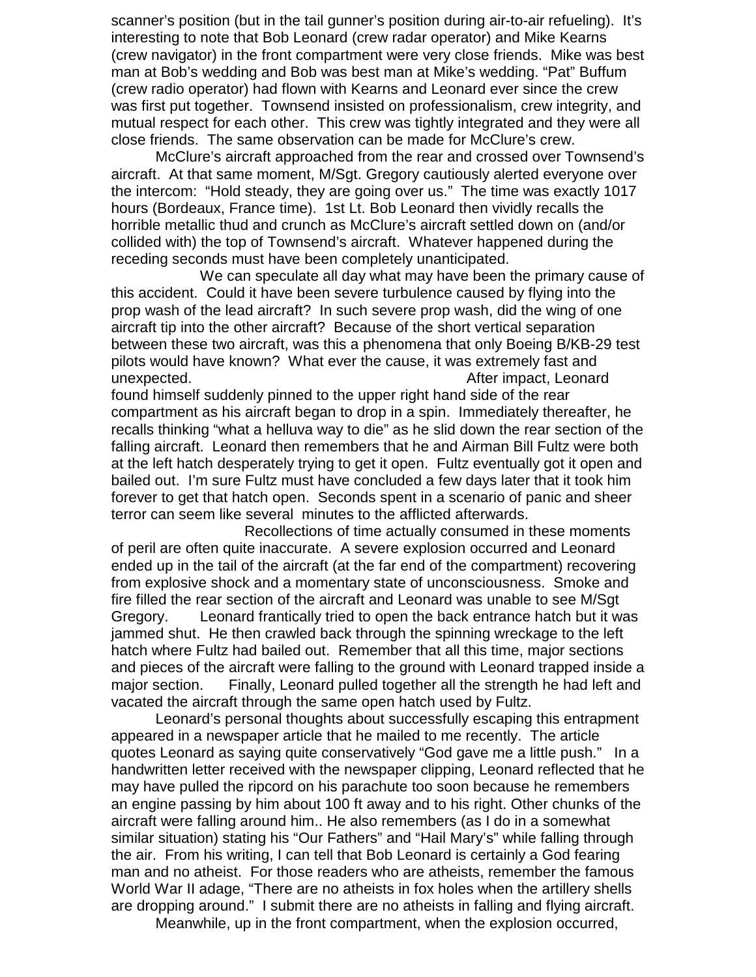scanner's position (but in the tail gunner's position during air-to-air refueling). It's interesting to note that Bob Leonard (crew radar operator) and Mike Kearns (crew navigator) in the front compartment were very close friends. Mike was best man at Bob's wedding and Bob was best man at Mike's wedding. "Pat" Buffum (crew radio operator) had flown with Kearns and Leonard ever since the crew was first put together. Townsend insisted on professionalism, crew integrity, and mutual respect for each other. This crew was tightly integrated and they were all close friends. The same observation can be made for McClure's crew.

 McClure's aircraft approached from the rear and crossed over Townsend's aircraft. At that same moment, M/Sgt. Gregory cautiously alerted everyone over the intercom: "Hold steady, they are going over us." The time was exactly 1017 hours (Bordeaux, France time). 1st Lt. Bob Leonard then vividly recalls the horrible metallic thud and crunch as McClure's aircraft settled down on (and/or collided with) the top of Townsend's aircraft. Whatever happened during the receding seconds must have been completely unanticipated.

 We can speculate all day what may have been the primary cause of this accident. Could it have been severe turbulence caused by flying into the prop wash of the lead aircraft? In such severe prop wash, did the wing of one aircraft tip into the other aircraft? Because of the short vertical separation between these two aircraft, was this a phenomena that only Boeing B/KB-29 test pilots would have known? What ever the cause, it was extremely fast and unexpected. After impact, Leonard

found himself suddenly pinned to the upper right hand side of the rear compartment as his aircraft began to drop in a spin. Immediately thereafter, he recalls thinking "what a helluva way to die" as he slid down the rear section of the falling aircraft. Leonard then remembers that he and Airman Bill Fultz were both at the left hatch desperately trying to get it open. Fultz eventually got it open and bailed out. I'm sure Fultz must have concluded a few days later that it took him forever to get that hatch open. Seconds spent in a scenario of panic and sheer terror can seem like several minutes to the afflicted afterwards.

 Recollections of time actually consumed in these moments of peril are often quite inaccurate. A severe explosion occurred and Leonard ended up in the tail of the aircraft (at the far end of the compartment) recovering from explosive shock and a momentary state of unconsciousness. Smoke and fire filled the rear section of the aircraft and Leonard was unable to see M/Sgt Gregory. Leonard frantically tried to open the back entrance hatch but it was jammed shut. He then crawled back through the spinning wreckage to the left hatch where Fultz had bailed out. Remember that all this time, major sections and pieces of the aircraft were falling to the ground with Leonard trapped inside a major section. Finally, Leonard pulled together all the strength he had left and vacated the aircraft through the same open hatch used by Fultz.

 Leonard's personal thoughts about successfully escaping this entrapment appeared in a newspaper article that he mailed to me recently. The article quotes Leonard as saying quite conservatively "God gave me a little push." In a handwritten letter received with the newspaper clipping, Leonard reflected that he may have pulled the ripcord on his parachute too soon because he remembers an engine passing by him about 100 ft away and to his right. Other chunks of the aircraft were falling around him.. He also remembers (as I do in a somewhat similar situation) stating his "Our Fathers" and "Hail Mary's" while falling through the air. From his writing, I can tell that Bob Leonard is certainly a God fearing man and no atheist. For those readers who are atheists, remember the famous World War II adage, "There are no atheists in fox holes when the artillery shells are dropping around." I submit there are no atheists in falling and flying aircraft.

Meanwhile, up in the front compartment, when the explosion occurred,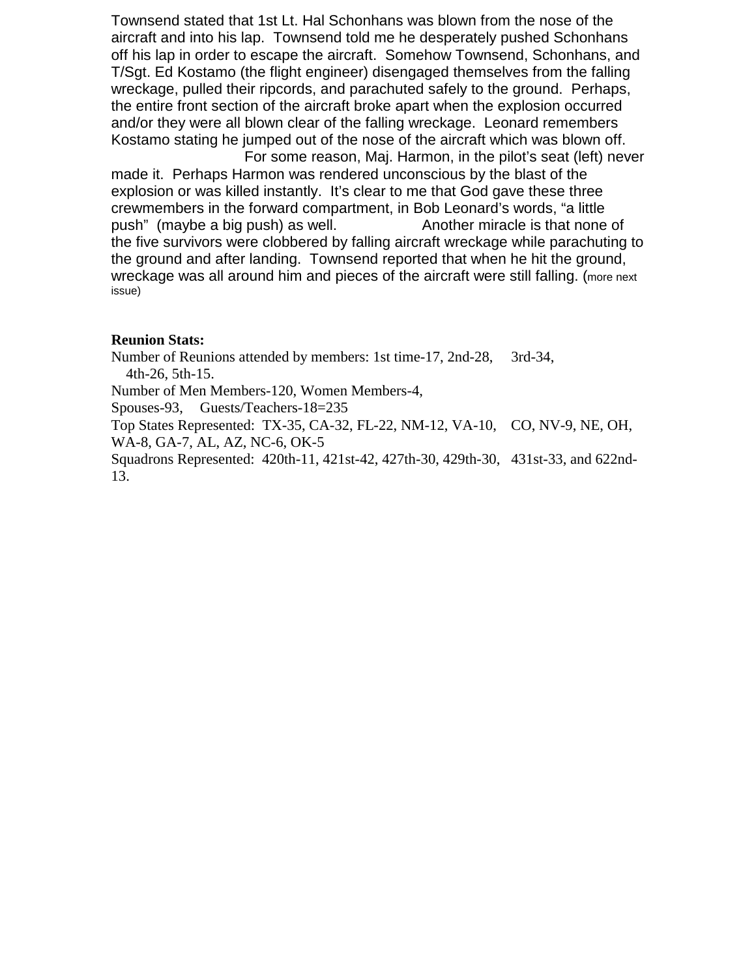Townsend stated that 1st Lt. Hal Schonhans was blown from the nose of the aircraft and into his lap. Townsend told me he desperately pushed Schonhans off his lap in order to escape the aircraft. Somehow Townsend, Schonhans, and T/Sgt. Ed Kostamo (the flight engineer) disengaged themselves from the falling wreckage, pulled their ripcords, and parachuted safely to the ground. Perhaps, the entire front section of the aircraft broke apart when the explosion occurred and/or they were all blown clear of the falling wreckage. Leonard remembers Kostamo stating he jumped out of the nose of the aircraft which was blown off. For some reason, Maj. Harmon, in the pilot's seat (left) never

made it. Perhaps Harmon was rendered unconscious by the blast of the explosion or was killed instantly. It's clear to me that God gave these three crewmembers in the forward compartment, in Bob Leonard's words, "a little push" (maybe a big push) as well. Another miracle is that none of the five survivors were clobbered by falling aircraft wreckage while parachuting to the ground and after landing. Townsend reported that when he hit the ground, wreckage was all around him and pieces of the aircraft were still falling. (more next issue)

### **Reunion Stats:**

Number of Reunions attended by members: 1st time-17, 2nd-28, 3rd-34, 4th-26, 5th-15.

Number of Men Members-120, Women Members-4,

Spouses-93, Guests/Teachers-18=235

Top States Represented: TX-35, CA-32, FL-22, NM-12, VA-10, CO, NV-9, NE, OH, WA-8, GA-7, AL, AZ, NC-6, OK-5

Squadrons Represented: 420th-11, 421st-42, 427th-30, 429th-30, 431st-33, and 622nd-13.